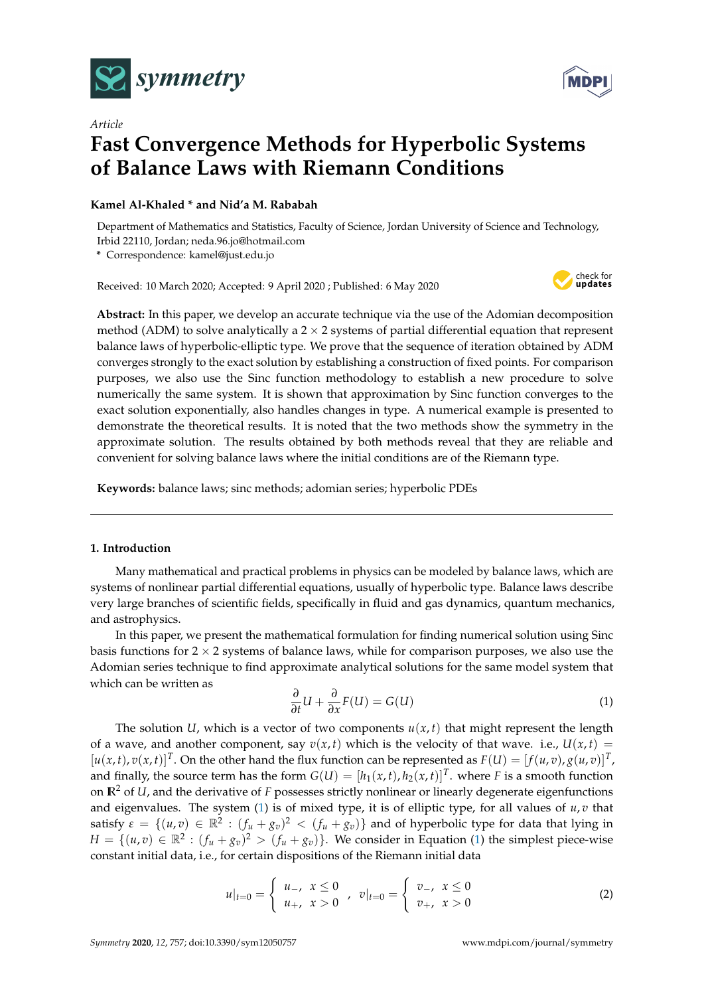

*Article*



# **Fast Convergence Methods for Hyperbolic Systems of Balance Laws with Riemann Conditions**

# **Kamel Al-Khaled \* and Nid'a M. Rababah**

Department of Mathematics and Statistics, Faculty of Science, Jordan University of Science and Technology, Irbid 22110, Jordan; neda.96.jo@hotmail.com

**\*** Correspondence: kamel@just.edu.jo

Received: 10 March 2020; Accepted: 9 April 2020 ; Published: 6 May 2020



**Abstract:** In this paper, we develop an accurate technique via the use of the Adomian decomposition method (ADM) to solve analytically a  $2 \times 2$  systems of partial differential equation that represent balance laws of hyperbolic-elliptic type. We prove that the sequence of iteration obtained by ADM converges strongly to the exact solution by establishing a construction of fixed points. For comparison purposes, we also use the Sinc function methodology to establish a new procedure to solve numerically the same system. It is shown that approximation by Sinc function converges to the exact solution exponentially, also handles changes in type. A numerical example is presented to demonstrate the theoretical results. It is noted that the two methods show the symmetry in the approximate solution. The results obtained by both methods reveal that they are reliable and convenient for solving balance laws where the initial conditions are of the Riemann type.

**Keywords:** balance laws; sinc methods; adomian series; hyperbolic PDEs

# **1. Introduction**

Many mathematical and practical problems in physics can be modeled by balance laws, which are systems of nonlinear partial differential equations, usually of hyperbolic type. Balance laws describe very large branches of scientific fields, specifically in fluid and gas dynamics, quantum mechanics, and astrophysics.

In this paper, we present the mathematical formulation for finding numerical solution using Sinc basis functions for  $2 \times 2$  systems of balance laws, while for comparison purposes, we also use the Adomian series technique to find approximate analytical solutions for the same model system that which can be written as

<span id="page-0-0"></span>
$$
\frac{\partial}{\partial t}U + \frac{\partial}{\partial x}F(U) = G(U)
$$
 (1)

The solution *U*, which is a vector of two components  $u(x, t)$  that might represent the length of a wave, and another component, say  $v(x, t)$  which is the velocity of that wave. i.e.,  $U(x, t) =$  $[u(x, t), v(x, t)]^T$ . On the other hand the flux function can be represented as  $F(U) = [f(u, v), g(u, v)]^T$ , and finally, the source term has the form  $G(U) = [h_1(x,t), h_2(x,t)]^T$ . where *F* is a smooth function on  $\mathbb{R}^2$  of *U*, and the derivative of *F* possesses strictly nonlinear or linearly degenerate eigenfunctions and eigenvalues. The system [\(1\)](#page-0-0) is of mixed type, it is of elliptic type, for all values of *u*, *v* that satisfy  $\varepsilon = \{(u, v) \in \mathbb{R}^2 : (f_u + g_v)^2 < (f_u + g_v)\}\$  and of hyperbolic type for data that lying in  $H = \{(u, v) \in \mathbb{R}^2 : (f_u + g_v)^2 > (f_u + g_v)\}.$  We consider in Equation [\(1\)](#page-0-0) the simplest piece-wise constant initial data, i.e., for certain dispositions of the Riemann initial data

$$
u|_{t=0} = \begin{cases} u_{-}, & x \le 0 \\ u_{+}, & x > 0 \end{cases}, v|_{t=0} = \begin{cases} v_{-}, & x \le 0 \\ v_{+}, & x > 0 \end{cases}
$$
 (2)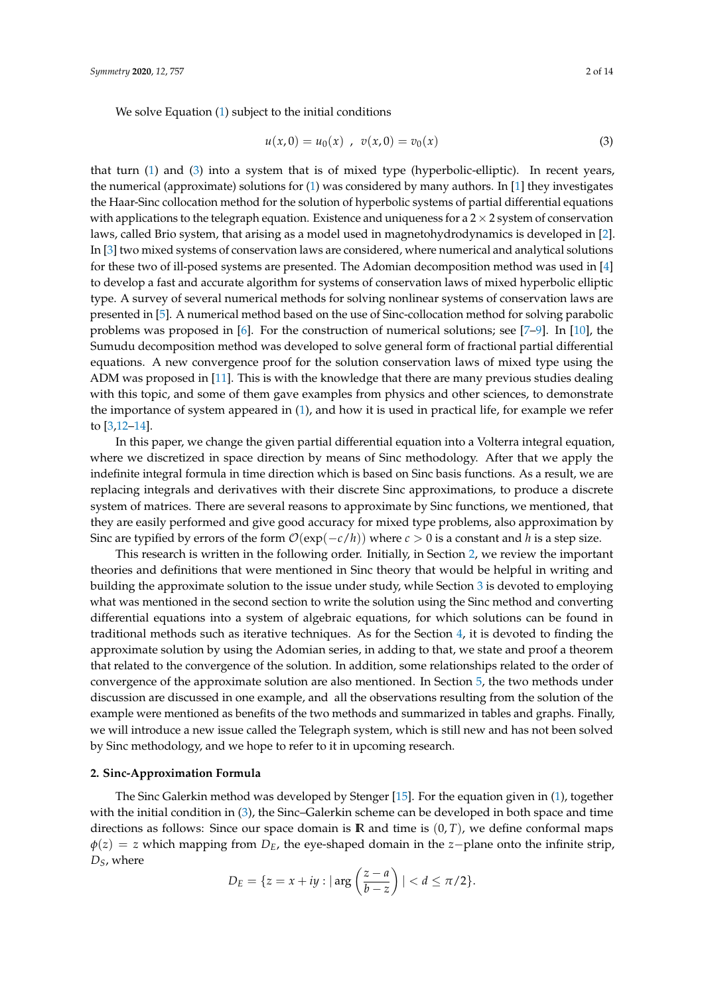<span id="page-1-0"></span>
$$
u(x,0) = u_0(x) , v(x,0) = v_0(x)
$$
 (3)

that turn [\(1\)](#page-0-0) and [\(3\)](#page-1-0) into a system that is of mixed type (hyperbolic-elliptic). In recent years, the numerical (approximate) solutions for [\(1\)](#page-0-0) was considered by many authors. In [\[1\]](#page-12-0) they investigates the Haar-Sinc collocation method for the solution of hyperbolic systems of partial differential equations with applications to the telegraph equation. Existence and uniqueness for a  $2 \times 2$  system of conservation laws, called Brio system, that arising as a model used in magnetohydrodynamics is developed in [\[2\]](#page-12-1). In [\[3\]](#page-12-2) two mixed systems of conservation laws are considered, where numerical and analytical solutions for these two of ill-posed systems are presented. The Adomian decomposition method was used in [\[4\]](#page-12-3) to develop a fast and accurate algorithm for systems of conservation laws of mixed hyperbolic elliptic type. A survey of several numerical methods for solving nonlinear systems of conservation laws are presented in [\[5\]](#page-12-4). A numerical method based on the use of Sinc-collocation method for solving parabolic problems was proposed in  $[6]$ . For the construction of numerical solutions; see  $[7-9]$  $[7-9]$ . In  $[10]$ , the Sumudu decomposition method was developed to solve general form of fractional partial differential equations. A new convergence proof for the solution conservation laws of mixed type using the ADM was proposed in [\[11\]](#page-12-9). This is with the knowledge that there are many previous studies dealing with this topic, and some of them gave examples from physics and other sciences, to demonstrate the importance of system appeared in [\(1\)](#page-0-0), and how it is used in practical life, for example we refer to [\[3,](#page-12-2)[12](#page-12-10)[–14\]](#page-12-11).

In this paper, we change the given partial differential equation into a Volterra integral equation, where we discretized in space direction by means of Sinc methodology. After that we apply the indefinite integral formula in time direction which is based on Sinc basis functions. As a result, we are replacing integrals and derivatives with their discrete Sinc approximations, to produce a discrete system of matrices. There are several reasons to approximate by Sinc functions, we mentioned, that they are easily performed and give good accuracy for mixed type problems, also approximation by Sinc are typified by errors of the form O(exp(−*c*/*h*)) where *c* > 0 is a constant and *h* is a step size.

This research is written in the following order. Initially, in Section [2,](#page-1-1) we review the important theories and definitions that were mentioned in Sinc theory that would be helpful in writing and building the approximate solution to the issue under study, while Section [3](#page-3-0) is devoted to employing what was mentioned in the second section to write the solution using the Sinc method and converting differential equations into a system of algebraic equations, for which solutions can be found in traditional methods such as iterative techniques. As for the Section [4,](#page-5-0) it is devoted to finding the approximate solution by using the Adomian series, in adding to that, we state and proof a theorem that related to the convergence of the solution. In addition, some relationships related to the order of convergence of the approximate solution are also mentioned. In Section [5,](#page-8-0) the two methods under discussion are discussed in one example, and all the observations resulting from the solution of the example were mentioned as benefits of the two methods and summarized in tables and graphs. Finally, we will introduce a new issue called the Telegraph system, which is still new and has not been solved by Sinc methodology, and we hope to refer to it in upcoming research.

## <span id="page-1-1"></span>**2. Sinc-Approximation Formula**

The Sinc Galerkin method was developed by Stenger [\[15\]](#page-12-12). For the equation given in [\(1\)](#page-0-0), together with the initial condition in [\(3\)](#page-1-0), the Sinc–Galerkin scheme can be developed in both space and time directions as follows: Since our space domain is  $\mathbb{R}$  and time is  $(0, T)$ , we define conformal maps *φ*(*z*) = *z* which mapping from *DE*, the eye-shaped domain in the *z*−plane onto the infinite strip, *DS*, where

$$
D_E = \{ z = x + iy : |\arg\left(\frac{z - a}{b - z}\right)| < d \le \pi/2 \}.
$$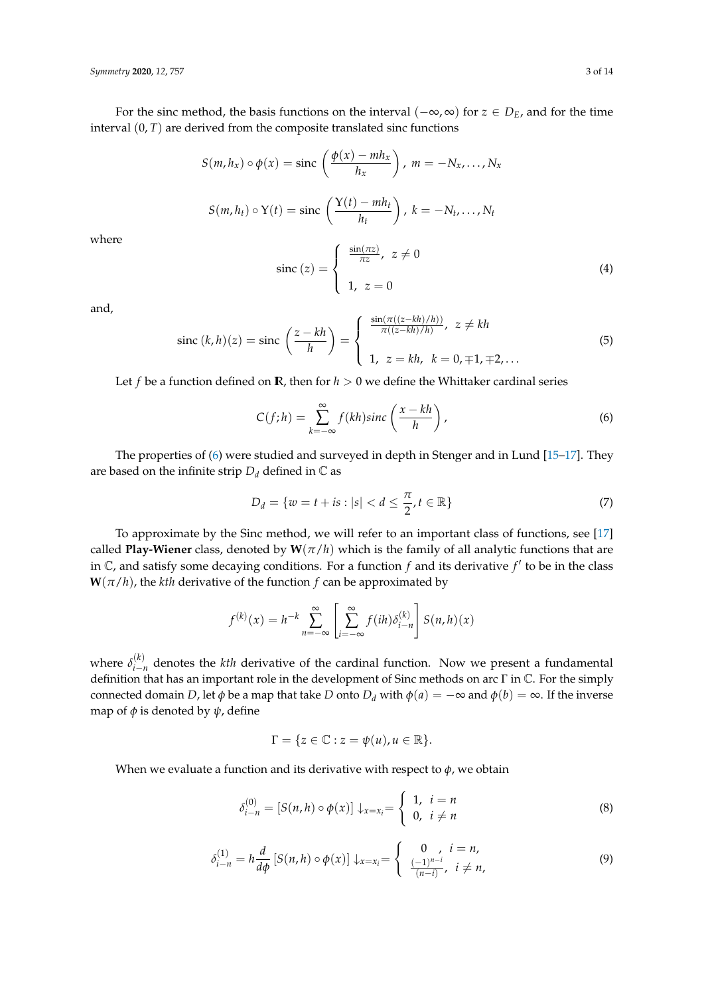For the sinc method, the basis functions on the interval (−∞, ∞) for *z* ∈ *DE*, and for the time interval  $(0, T)$  are derived from the composite translated sinc functions

$$
S(m, h_x) \circ \phi(x) = \text{sinc}\left(\frac{\phi(x) - mh_x}{h_x}\right), \ m = -N_x, \dots, N_x
$$

$$
S(m, h_t) \circ Y(t) = \text{sinc}\left(\frac{Y(t) - mh_t}{h_t}\right), \ k = -N_t, \dots, N_t
$$

$$
\left(\frac{\sin(\pi z)}{\pi z}, \ z \neq 0\right)
$$

where

sinc (z) = 
$$
\begin{cases} \frac{\sin(\pi z)}{\pi z}, \ z \neq 0 \\ 1, \ z = 0 \end{cases}
$$
 (4)

and,

$$
\text{sinc } (k, h)(z) = \text{sinc } \left( \frac{z - kh}{h} \right) = \begin{cases} \frac{\sin(\pi((z - kh)/h))}{\pi((z - kh)/h)}, \ z \neq kh \\ 1, \ z = kh, \ k = 0, \mp 1, \mp 2, \dots \end{cases} \tag{5}
$$

Let *f* be a function defined on  $\mathbb{R}$ , then for  $h > 0$  we define the Whittaker cardinal series

<span id="page-2-0"></span>
$$
C(f;h) = \sum_{k=-\infty}^{\infty} f(kh)\operatorname{sinc}\left(\frac{x-kh}{h}\right),\tag{6}
$$

The properties of [\(6\)](#page-2-0) were studied and surveyed in depth in Stenger and in Lund [\[15–](#page-12-12)[17\]](#page-12-13). They are based on the infinite strip  $D_d$  defined in  $\mathbb C$  as

$$
D_d = \{ w = t + is : |s| < d \leq \frac{\pi}{2}, t \in \mathbb{R} \} \tag{7}
$$

To approximate by the Sinc method, we will refer to an important class of functions, see [\[17\]](#page-12-13) called **Play-Wiener** class, denoted by  $W(\pi/h)$  which is the family of all analytic functions that are in  $\mathbb C$ , and satisfy some decaying conditions. For a function  $f$  and its derivative  $f'$  to be in the class  $W(\pi/h)$ , the *kth* derivative of the function *f* can be approximated by

$$
f^{(k)}(x) = h^{-k} \sum_{n=-\infty}^{\infty} \left[ \sum_{i=-\infty}^{\infty} f(ih) \delta_{i-n}^{(k)} \right] S(n,h)(x)
$$

where  $\delta_{i-j}^{(k)}$  $\sum_{i=n}^{N}$  denotes the *kth* derivative of the cardinal function. Now we present a fundamental definition that has an important role in the development of Sinc methods on arc Γ in C. For the simply connected domain *D*, let  $\phi$  be a map that take *D* onto  $D_d$  with  $\phi(a) = -\infty$  and  $\phi(b) = \infty$ . If the inverse map of  $\phi$  is denoted by  $\psi$ , define

$$
\Gamma = \{ z \in \mathbb{C} : z = \psi(u), u \in \mathbb{R} \}.
$$

When we evaluate a function and its derivative with respect to  $\phi$ , we obtain

$$
\delta_{i-n}^{(0)} = [S(n,h) \circ \phi(x)] \downarrow_{x=x_i} = \begin{cases} 1, & i = n \\ 0, & i \neq n \end{cases}
$$
 (8)

<span id="page-2-1"></span>
$$
\delta_{i-n}^{(1)} = h \frac{d}{d\phi} \left[ S(n,h) \circ \phi(x) \right] \downarrow_{x=x_i} = \begin{cases} 0, & i = n, \\ \frac{(-1)^{n-i}}{(n-i)}, & i \neq n, \end{cases}
$$
(9)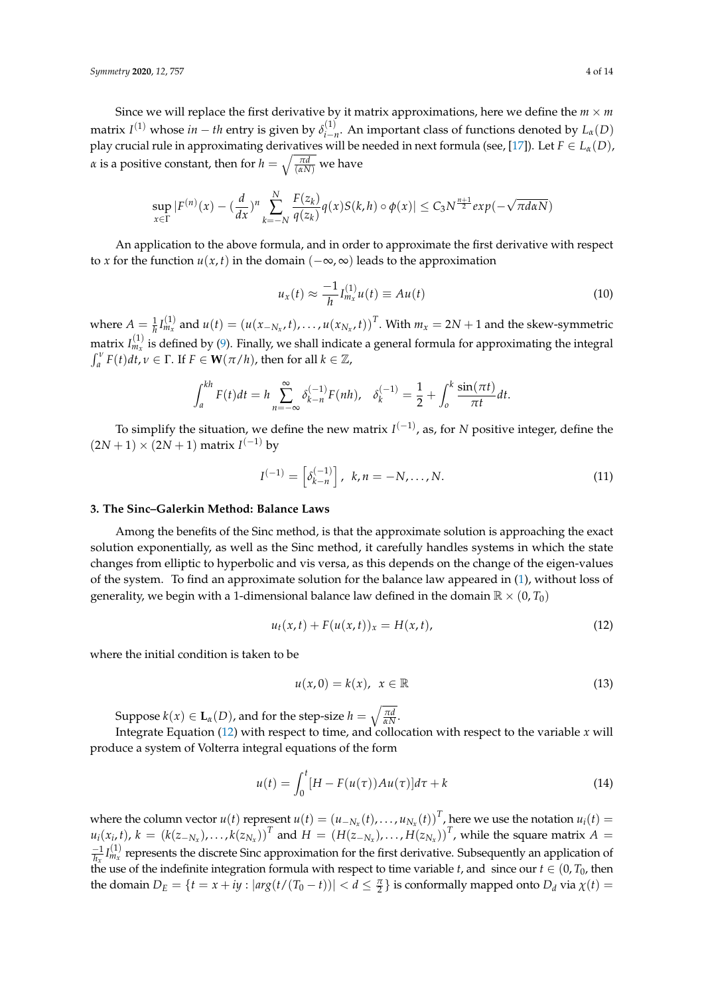Since we will replace the first derivative by it matrix approximations, here we define the  $m \times m$ matrix  $I^{(1)}$  whose  $in-th$  entry is given by  $\delta_{i-1}^{(1)}$  $\iota_{i-n}^{(1)}$ . An important class of functions denoted by  $L_{\alpha}(D)$ play crucial rule in approximating derivatives will be needed in next formula (see, [\[17\]](#page-12-13)). Let  $F \in L_{\alpha}(D)$ , *α* is a positive constant, then for  $h = \sqrt{\frac{\pi d}{(\alpha N)}}$  we have

$$
\sup_{x\in\Gamma}|F^{(n)}(x)-(\frac{d}{dx})^n\sum_{k=-N}^N\frac{F(z_k)}{q(z_k)}q(x)S(k,h)\circ\phi(x)|\leq C_3N^{\frac{n+1}{2}}exp(-\sqrt{\pi d\alpha N})
$$

An application to the above formula, and in order to approximate the first derivative with respect to *x* for the function  $u(x, t)$  in the domain  $(-\infty, \infty)$  leads to the approximation

$$
u_x(t) \approx \frac{-1}{h} I_{m_x}^{(1)} u(t) \equiv Au(t) \tag{10}
$$

where  $A = \frac{1}{h} I_{m_x}^{(1)}$  and  $u(t) = (u(x_{-N_x}, t), \dots, u(x_{N_x}, t))^T$ . With  $m_x = 2N + 1$  and the skew-symmetric matrix  $I_{m_x}^{(1)}$  is defined by [\(9\)](#page-2-1). Finally, we shall indicate a general formula for approximating the integral  $\int_a^v F(t)dt$ ,  $v \in \Gamma$ . If  $F \in \mathbf{W}(\pi/h)$ , then for all  $k \in \mathbb{Z}$ ,

$$
\int_{a}^{kh} F(t)dt = h \sum_{n=-\infty}^{\infty} \delta_{k-n}^{(-1)} F(nh), \quad \delta_{k}^{(-1)} = \frac{1}{2} + \int_{0}^{k} \frac{\sin(\pi t)}{\pi t} dt.
$$

To simplify the situation, we define the new matrix *I*<sup>(−1)</sup>, as, for *N* positive integer, define the  $(2N + 1) \times (2N + 1)$  matrix  $I^{(-1)}$  by

<span id="page-3-2"></span>
$$
I^{(-1)} = \left[\delta_{k-n}^{(-1)}\right], \ k, n = -N, \dots, N. \tag{11}
$$

#### <span id="page-3-0"></span>**3. The Sinc–Galerkin Method: Balance Laws**

Among the benefits of the Sinc method, is that the approximate solution is approaching the exact solution exponentially, as well as the Sinc method, it carefully handles systems in which the state changes from elliptic to hyperbolic and vis versa, as this depends on the change of the eigen-values of the system. To find an approximate solution for the balance law appeared in [\(1\)](#page-0-0), without loss of generality, we begin with a 1-dimensional balance law defined in the domain  $\mathbb{R} \times (0, T_0)$ 

<span id="page-3-1"></span>
$$
u_t(x,t) + F(u(x,t))_x = H(x,t),
$$
\n(12)

where the initial condition is taken to be

$$
u(x,0) = k(x), \quad x \in \mathbb{R}
$$
\n<sup>(13)</sup>

Suppose  $k(x) \in L_{\alpha}(D)$ , and for the step-size  $h = \sqrt{\frac{\pi d}{\alpha N}}$ .

Integrate Equation [\(12\)](#page-3-1) with respect to time, and collocation with respect to the variable *x* will produce a system of Volterra integral equations of the form

$$
u(t) = \int_0^t [H - F(u(\tau))Au(\tau)]d\tau + k \tag{14}
$$

where the column vector  $u(t)$  represent  $u(t) = (u_{-N_x}(t), \ldots, u_{N_x}(t))^T$ , here we use the notation  $u_i(t) =$  $u_i(x_i,t)$ ,  $k = (k(z_{-N_x}), \ldots, k(z_{N_x}))^T$  and  $H = (H(z_{-N_x}), \ldots, H(z_{N_x}))^T$ , while the square matrix  $A =$  $\frac{-1}{h_x}I_{m_x}^{(1)}$  represents the discrete Sinc approximation for the first derivative. Subsequently an application of the use of the indefinite integration formula with respect to time variable *t*, and since our  $t \in (0, T_0)$ , then the domain  $D_E = \{t = x + iy : |arg(t/(T_0 - t))| < d \leq \frac{\pi}{2}\}$  is conformally mapped onto  $D_d$  via  $\chi(t) =$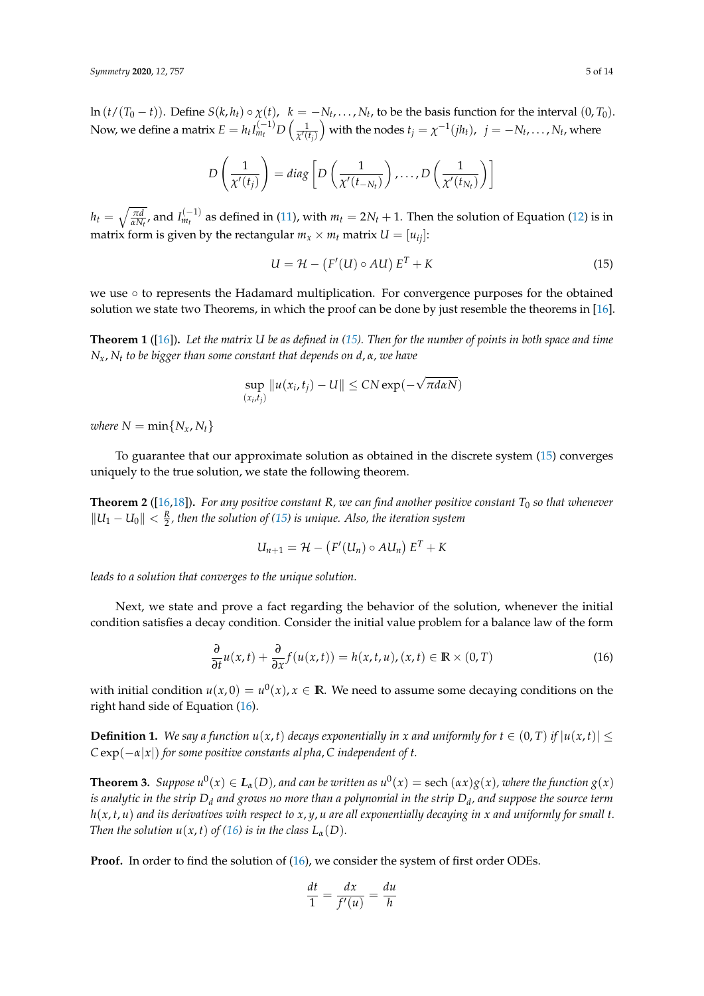ln  $(t/(T_0-t))$ . Define  $S(k, h_t) \circ \chi(t)$ ,  $k = -N_t, \ldots, N_t$ , to be the basis function for the interval  $(0, T_0)$ . Now, we define a matrix  $E=h_tI_{m_t}^{(-1)}D\left(\frac{1}{\chi'(t_j)}\right)$  with the nodes  $t_j=\chi^{-1}(jh_t)$ ,  $\;j=-N_t,\ldots,N_t,$  where

<span id="page-4-0"></span>
$$
D\left(\frac{1}{\chi'(t_j)}\right) = diag\left[D\left(\frac{1}{\chi'(t_{-N_t})}\right), \ldots, D\left(\frac{1}{\chi'(t_{N_t})}\right)\right]
$$

 $h_t = \sqrt{\frac{\pi d}{\alpha N_t}}$ , and  $I_{m_t}^{(-1)}$  as defined in [\(11\)](#page-3-2), with  $m_t = 2N_t + 1$ . Then the solution of Equation [\(12\)](#page-3-1) is in matrix form is given by the rectangular  $m_x \times m_t$  matrix  $U = [u_{ij}]$ :

$$
U = \mathcal{H} - (F'(U) \circ AU) E^T + K \tag{15}
$$

we use ∘ to represents the Hadamard multiplication. For convergence purposes for the obtained solution we state two Theorems, in which the proof can be done by just resemble the theorems in [\[16\]](#page-12-14).

**Theorem 1** ([\[16\]](#page-12-14))**.** *Let the matrix U be as defined in [\(15\)](#page-4-0). Then for the number of points in both space and time Nx*, *N<sup>t</sup> to be bigger than some constant that depends on d*, *α, we have*

<span id="page-4-1"></span>
$$
\sup_{(x_i,t_j)} \|u(x_i,t_j) - U\| \leq CN \exp(-\sqrt{\pi d \alpha N})
$$

*where*  $N = \min\{N_x, N_t\}$ 

To guarantee that our approximate solution as obtained in the discrete system [\(15\)](#page-4-0) converges uniquely to the true solution, we state the following theorem.

**Theorem 2** ([\[16,](#page-12-14)[18\]](#page-12-15)). For any positive constant R, we can find another positive constant  $T_0$  so that whenever  $\|U_1 - U_0\| < \frac{R}{2}$ , then the solution of [\(15\)](#page-4-0) is unique. Also, the iteration system

$$
U_{n+1} = \mathcal{H} - (F'(U_n) \circ AU_n) E^T + K
$$

*leads to a solution that converges to the unique solution.*

Next, we state and prove a fact regarding the behavior of the solution, whenever the initial condition satisfies a decay condition. Consider the initial value problem for a balance law of the form

$$
\frac{\partial}{\partial t}u(x,t) + \frac{\partial}{\partial x}f(u(x,t)) = h(x,t,u), (x,t) \in \mathbb{R} \times (0,T)
$$
\n(16)

with initial condition  $u(x, 0) = u^0(x)$ ,  $x \in \mathbb{R}$ . We need to assume some decaying conditions on the right hand side of Equation [\(16\)](#page-4-1).

**Definition 1.** We say a function  $u(x, t)$  decays exponentially in x and uniformly for  $t \in (0, T)$  if  $|u(x, t)| \le$  $C \exp(-\alpha |x|)$  *for some positive constants alpha, C independent of t.* 

**Theorem 3.** Suppose  $u^0(x) \in L_\alpha(D)$ , and can be written as  $u^0(x) =$  sech  $(\alpha x)g(x)$ , where the function  $g(x)$ *is analytic in the strip D<sup>d</sup> and grows no more than a polynomial in the strip D<sup>d</sup> , and suppose the source term h*(*x*, *t*, *u*) *and its derivatives with respect to x*, *y*, *u are all exponentially decaying in x and uniformly for small t. Then the solution*  $u(x, t)$  *of [\(16\)](#page-4-1) is in the class*  $L_{\alpha}(D)$ *.* 

**Proof.** In order to find the solution of [\(16\)](#page-4-1), we consider the system of first order ODEs.

$$
\frac{dt}{1} = \frac{dx}{f'(u)} = \frac{du}{h}
$$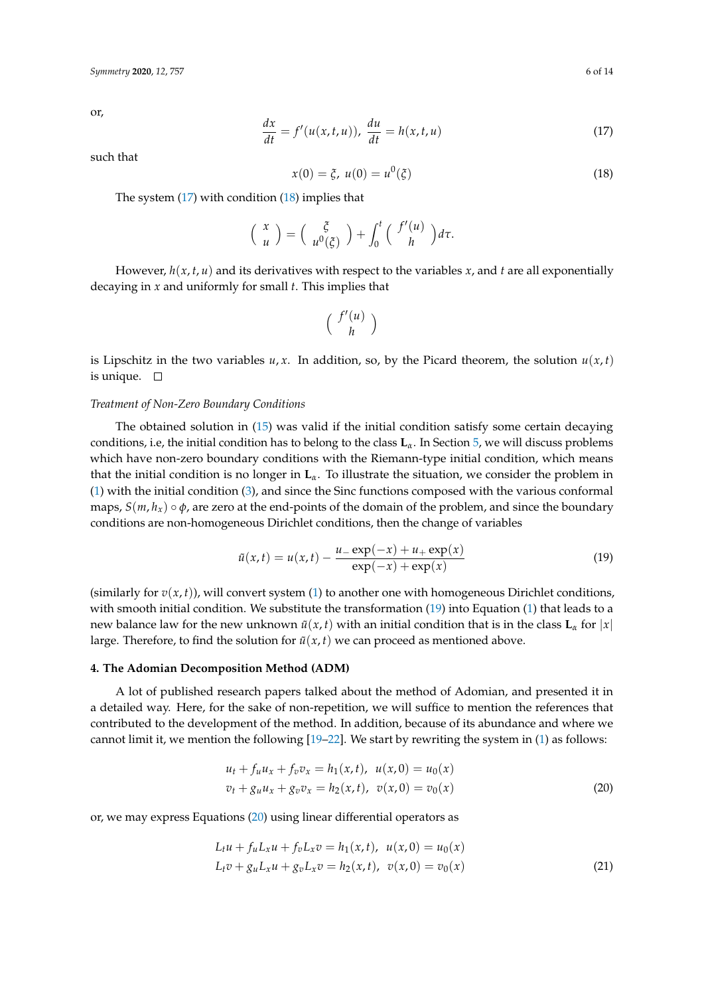or,

<span id="page-5-1"></span>
$$
\frac{dx}{dt} = f'(u(x, t, u)), \frac{du}{dt} = h(x, t, u)
$$
\n(17)

such that

<span id="page-5-2"></span>
$$
x(0) = \xi, \ u(0) = u^0(\xi) \tag{18}
$$

The system  $(17)$  with condition  $(18)$  implies that

$$
\left(\begin{array}{c} x \\ u \end{array}\right) = \left(\begin{array}{c} \xi \\ u^0(\xi) \end{array}\right) + \int_0^t \left(\begin{array}{c} f'(u) \\ h \end{array}\right) d\tau.
$$

However,  $h(x, t, u)$  and its derivatives with respect to the variables  $x$ , and  $t$  are all exponentially decaying in *x* and uniformly for small *t*. This implies that

$$
\left(\begin{array}{c}f'(u)\\h\end{array}\right)
$$

is Lipschitz in the two variables  $u, x$ . In addition, so, by the Picard theorem, the solution  $u(x, t)$ is unique.  $\square$ 

#### *Treatment of Non-Zero Boundary Conditions*

The obtained solution in [\(15\)](#page-4-0) was valid if the initial condition satisfy some certain decaying conditions, i.e, the initial condition has to belong to the class **L***α*. In Section [5,](#page-8-0) we will discuss problems which have non-zero boundary conditions with the Riemann-type initial condition, which means that the initial condition is no longer in **L***α*. To illustrate the situation, we consider the problem in [\(1\)](#page-0-0) with the initial condition [\(3\)](#page-1-0), and since the Sinc functions composed with the various conformal maps,  $S(m, h_x) \circ \phi$ , are zero at the end-points of the domain of the problem, and since the boundary conditions are non-homogeneous Dirichlet conditions, then the change of variables

<span id="page-5-3"></span>
$$
\tilde{u}(x,t) = u(x,t) - \frac{u_{-} \exp(-x) + u_{+} \exp(x)}{\exp(-x) + \exp(x)}
$$
(19)

(similarly for  $v(x, t)$ ), will convert system [\(1\)](#page-0-0) to another one with homogeneous Dirichlet conditions, with smooth initial condition. We substitute the transformation [\(19\)](#page-5-3) into Equation [\(1\)](#page-0-0) that leads to a new balance law for the new unknown  $\tilde{u}(x, t)$  with an initial condition that is in the class  $\mathbf{L}_{\alpha}$  for  $|x|$ large. Therefore, to find the solution for  $\tilde{u}(x, t)$  we can proceed as mentioned above.

#### <span id="page-5-0"></span>**4. The Adomian Decomposition Method (ADM)**

A lot of published research papers talked about the method of Adomian, and presented it in a detailed way. Here, for the sake of non-repetition, we will suffice to mention the references that contributed to the development of the method. In addition, because of its abundance and where we cannot limit it, we mention the following [\[19–](#page-12-16)[22\]](#page-13-0). We start by rewriting the system in [\(1\)](#page-0-0) as follows:

<span id="page-5-4"></span>
$$
u_t + f_u u_x + f_v v_x = h_1(x, t), \quad u(x, 0) = u_0(x)
$$
  

$$
v_t + g_u u_x + g_v v_x = h_2(x, t), \quad v(x, 0) = v_0(x)
$$
 (20)

or, we may express Equations [\(20\)](#page-5-4) using linear differential operators as

<span id="page-5-5"></span>
$$
L_t u + f_u L_x u + f_v L_x v = h_1(x, t), \quad u(x, 0) = u_0(x)
$$
  

$$
L_t v + g_u L_x u + g_v L_x v = h_2(x, t), \quad v(x, 0) = v_0(x)
$$
 (21)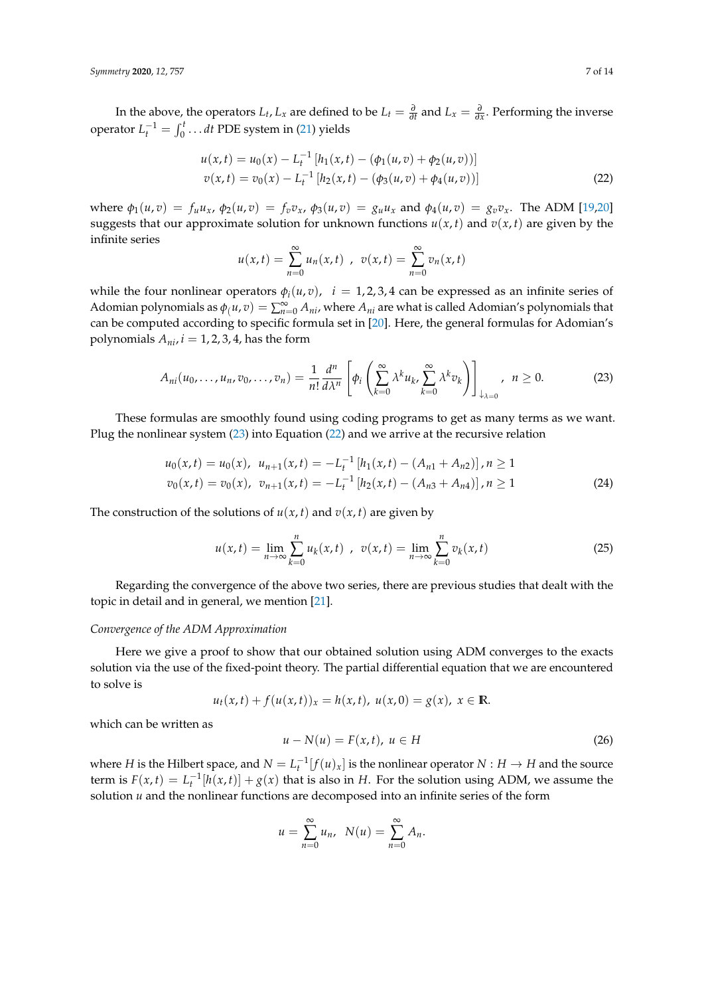In the above, the operators  $L_t$ ,  $L_x$  are defined to be  $L_t = \frac{\partial}{\partial t}$  and  $L_x = \frac{\partial}{\partial x}$ . Performing the inverse operator  $L_t^{-1} = \int_0^t \dots dt$  PDE system in [\(21\)](#page-5-5) yields

<span id="page-6-1"></span>
$$
u(x,t) = u_0(x) - L_t^{-1} [h_1(x,t) - (\phi_1(u,v) + \phi_2(u,v))]
$$
  

$$
v(x,t) = v_0(x) - L_t^{-1} [h_2(x,t) - (\phi_3(u,v) + \phi_4(u,v))]
$$
 (22)

where  $\phi_1(u,v) = f_u u_x$ ,  $\phi_2(u,v) = f_v v_x$ ,  $\phi_3(u,v) = g_u u_x$  and  $\phi_4(u,v) = g_v v_x$ . The ADM [\[19](#page-12-16)[,20\]](#page-12-17) suggests that our approximate solution for unknown functions  $u(x, t)$  and  $v(x, t)$  are given by the infinite series

<span id="page-6-0"></span>
$$
u(x,t) = \sum_{n=0}^{\infty} u_n(x,t) , v(x,t) = \sum_{n=0}^{\infty} v_n(x,t)
$$

while the four nonlinear operators  $\phi_i(u, v)$ ,  $i = 1, 2, 3, 4$  can be expressed as an infinite series of Adomian polynomials as  $\phi_l(u, v) = \sum_{n=0}^{\infty} A_{ni}$ , where  $A_{ni}$  are what is called Adomian's polynomials that can be computed according to specific formula set in [\[20\]](#page-12-17). Here, the general formulas for Adomian's polynomials  $A_{ni}$ ,  $i = 1, 2, 3, 4$ , has the form

$$
A_{ni}(u_0,\ldots,u_n,v_0,\ldots,v_n)=\frac{1}{n!}\frac{d^n}{d\lambda^n}\left[\phi_i\left(\sum_{k=0}^{\infty}\lambda^ku_k,\sum_{k=0}^{\infty}\lambda^kv_k\right)\right]_{\downarrow_{\lambda=0}},\ \ n\geq 0. \tag{23}
$$

These formulas are smoothly found using coding programs to get as many terms as we want. Plug the nonlinear system [\(23\)](#page-6-0) into Equation [\(22\)](#page-6-1) and we arrive at the recursive relation

$$
u_0(x,t) = u_0(x), \quad u_{n+1}(x,t) = -L_t^{-1} \left[ h_1(x,t) - (A_{n1} + A_{n2}) \right], n \ge 1
$$
\n
$$
v_0(x,t) = v_0(x), \quad v_{n+1}(x,t) = -L_t^{-1} \left[ h_2(x,t) - (A_{n3} + A_{n4}) \right], n \ge 1
$$
\n(24)

The construction of the solutions of  $u(x, t)$  and  $v(x, t)$  are given by

$$
u(x,t) = \lim_{n \to \infty} \sum_{k=0}^{n} u_k(x,t) , \quad v(x,t) = \lim_{n \to \infty} \sum_{k=0}^{n} v_k(x,t)
$$
 (25)

Regarding the convergence of the above two series, there are previous studies that dealt with the topic in detail and in general, we mention [\[21\]](#page-13-1).

### *Convergence of the ADM Approximation*

Here we give a proof to show that our obtained solution using ADM converges to the exacts solution via the use of the fixed-point theory. The partial differential equation that we are encountered to solve is

$$
u_t(x,t) + f(u(x,t))_x = h(x,t), \ u(x,0) = g(x), \ x \in \mathbb{R}.
$$

which can be written as

<span id="page-6-2"></span>
$$
u - N(u) = F(x, t), \ u \in H \tag{26}
$$

where *H* is the Hilbert space, and  $N = L_t^{-1}[f(u)_x]$  is the nonlinear operator  $N : H \to H$  and the source term is  $F(x, t) = L_t^{-1}[h(x, t)] + g(x)$  that is also in *H*. For the solution using ADM, we assume the solution *u* and the nonlinear functions are decomposed into an infinite series of the form

$$
u = \sum_{n=0}^{\infty} u_n, \ N(u) = \sum_{n=0}^{\infty} A_n.
$$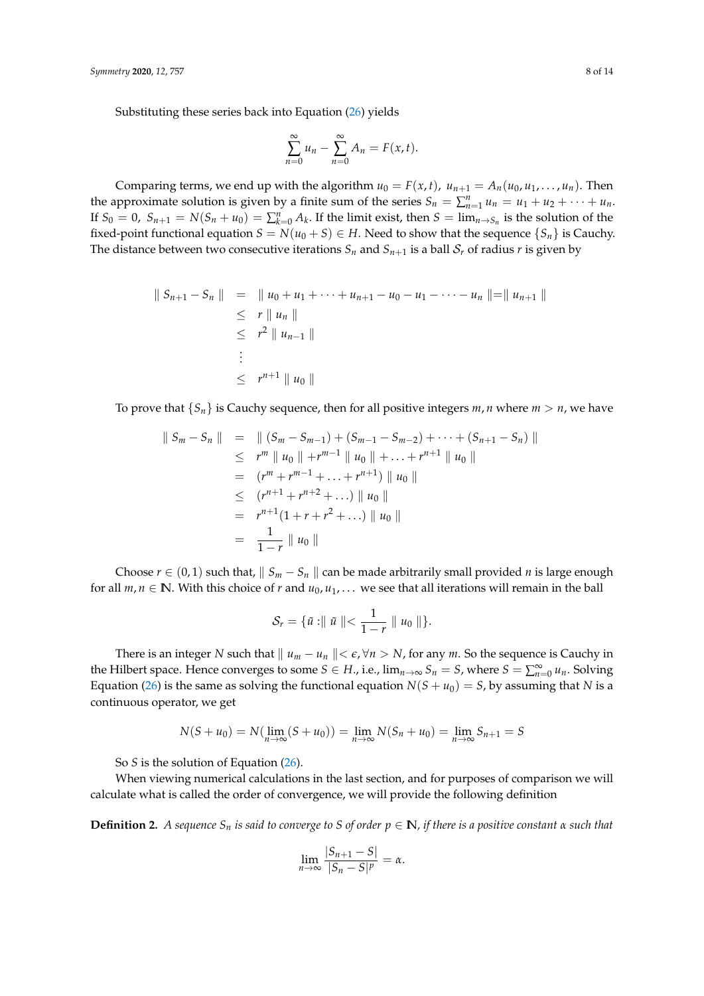Substituting these series back into Equation [\(26\)](#page-6-2) yields

$$
\sum_{n=0}^{\infty} u_n - \sum_{n=0}^{\infty} A_n = F(x, t).
$$

Comparing terms, we end up with the algorithm  $u_0 = F(x, t)$ ,  $u_{n+1} = A_n(u_0, u_1, \dots, u_n)$ . Then the approximate solution is given by a finite sum of the series  $S_n = \sum_{n=1}^n u_n = u_1 + u_2 + \cdots + u_n$ . If  $S_0 = 0$ ,  $S_{n+1} = N(S_n + u_0) = \sum_{k=0}^n A_k$ . If the limit exist, then  $S = \lim_{n \to S_n}$  is the solution of the fixed-point functional equation  $S = N(u_0 + S) \in H$ . Need to show that the sequence  $\{S_n\}$  is Cauchy. The distance between two consecutive iterations  $S_n$  and  $S_{n+1}$  is a ball  $S_r$  of radius *r* is given by

$$
\begin{array}{lcl}\n\parallel S_{n+1} - S_n \parallel & = & \parallel u_0 + u_1 + \cdots + u_{n+1} - u_0 - u_1 - \cdots - u_n \parallel = \parallel u_{n+1} \parallel \\
& \leq & r \parallel u_n \parallel \\
& \leq & r^2 \parallel u_{n-1} \parallel \\
& \vdots \\
& \leq & r^{n+1} \parallel u_0 \parallel\n\end{array}
$$

To prove that  ${S_n}$  is Cauchy sequence, then for all positive integers *m*, *n* where  $m > n$ , we have

$$
\begin{array}{rcl}\n\|\,S_m - S_n\| & = & \|\, (S_m - S_{m-1}) + (S_{m-1} - S_{m-2}) + \cdots + (S_{n+1} - S_n)\,\| \\
& \leq & r^m \|\, u_0 \|\, + r^{m-1} \|\, u_0 \|\, + \cdots + r^{n+1} \|\, u_0 \,\| \\
& = & \left(r^m + r^{m-1} + \cdots + r^{n+1}\right) \|\, u_0 \,\| \\
& \leq & \left(r^{n+1} + r^{n+2} + \cdots\right) \|\, u_0 \,\| \\
& = & r^{n+1} (1 + r + r^2 + \cdots) \|\, u_0 \,\| \\
& = & \frac{1}{1-r} \|\, u_0 \,\| \\
\end{array}
$$

Choose  $r \in (0, 1)$  such that,  $\| S_m - S_n \|$  can be made arbitrarily small provided *n* is large enough for all  $m, n \in \mathbb{N}$ . With this choice of *r* and  $u_0, u_1, \ldots$  we see that all iterations will remain in the ball

$$
\mathcal{S}_r = \{\tilde{u} : \parallel \tilde{u} \parallel < \frac{1}{1-r} \parallel u_0 \parallel \}.
$$

There is an integer *N* such that  $||u_m - u_n|| < \epsilon$ ,  $\forall n > N$ , for any *m*. So the sequence is Cauchy in the Hilbert space. Hence converges to some  $S \in H$ ., i.e.,  $\lim_{n\to\infty} S_n = S$ , where  $S = \sum_{n=0}^{\infty} u_n$ . Solving Equation [\(26\)](#page-6-2) is the same as solving the functional equation  $N(S + u_0) = S$ , by assuming that *N* is a continuous operator, we get

$$
N(S + u_0) = N(\lim_{n \to \infty} (S + u_0)) = \lim_{n \to \infty} N(S_n + u_0) = \lim_{n \to \infty} S_{n+1} = S
$$

So *S* is the solution of Equation [\(26\)](#page-6-2).

When viewing numerical calculations in the last section, and for purposes of comparison we will calculate what is called the order of convergence, we will provide the following definition

**Definition 2.** *A sequence*  $S_n$  *is said to converge to S of order*  $p \in \mathbb{N}$ *, if there is a positive constant*  $\alpha$  *such that* 

$$
\lim_{n\to\infty}\frac{|S_{n+1}-S|}{|S_n-S|^p}=\alpha.
$$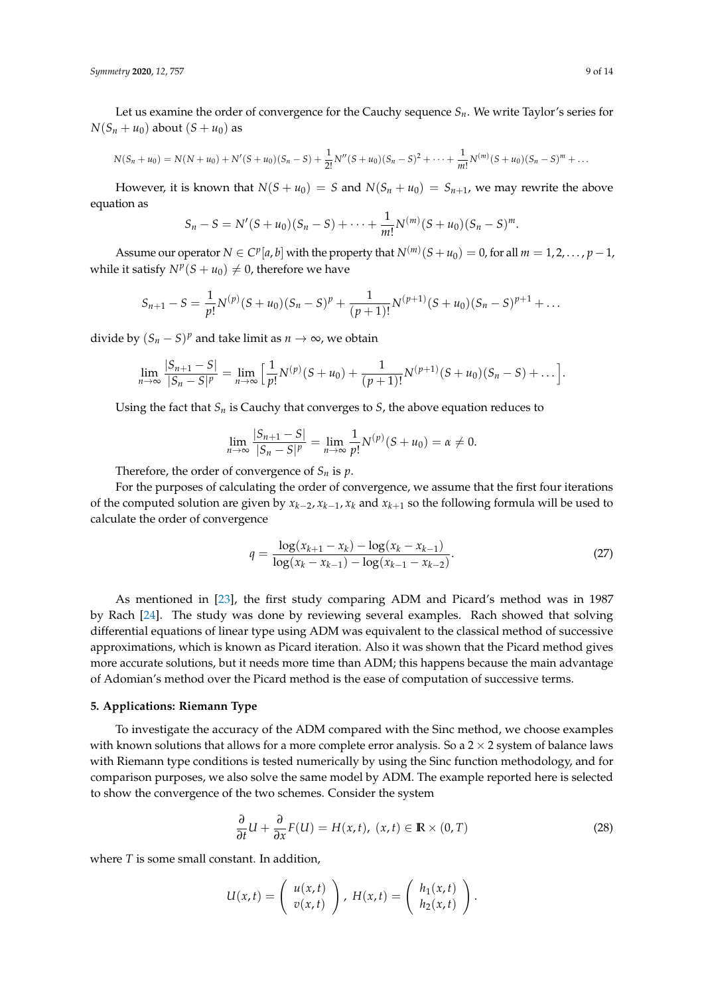*Symmetry* **2020**, *12*, 757 9 of 14

Let us examine the order of convergence for the Cauchy sequence  $S_n$ . We write Taylor's series for  $N(S_n + u_0)$  about  $(S + u_0)$  as

$$
N(S_n+u_0)=N(N+u_0)+N'(S+u_0)(S_n-S)+\frac{1}{2!}N''(S+u_0)(S_n-S)^2+\cdots+\frac{1}{m!}N^{(m)}(S+u_0)(S_n-S)^m+\cdots
$$

However, it is known that  $N(S + u_0) = S$  and  $N(S_n + u_0) = S_{n+1}$ , we may rewrite the above equation as

$$
S_n-S=N'(S+u_0)(S_n-S)+\cdots+\frac{1}{m!}N^{(m)}(S+u_0)(S_n-S)^m.
$$

Assume our operator  $N \in C^p[a,b]$  with the property that  $N^{(m)}(S+u_0) = 0$ , for all  $m = 1, 2, ..., p-1$ , while it satisfy  $N^p(S + u_0) \neq 0$ , therefore we have

$$
S_{n+1} - S = \frac{1}{p!} N^{(p)} (S + u_0) (S_n - S)^p + \frac{1}{(p+1)!} N^{(p+1)} (S + u_0) (S_n - S)^{p+1} + \dots
$$

divide by  $(S_n - S)^p$  and take limit as  $n \to \infty$ , we obtain

$$
\lim_{n\to\infty}\frac{|S_{n+1}-S|}{|S_n-S|^p}=\lim_{n\to\infty}\Big[\frac{1}{p!}N^{(p)}(S+u_0)+\frac{1}{(p+1)!}N^{(p+1)}(S+u_0)(S_n-S)+\dots\Big].
$$

Using the fact that  $S_n$  is Cauchy that converges to *S*, the above equation reduces to

$$
\lim_{n \to \infty} \frac{|S_{n+1} - S|}{|S_n - S|^p} = \lim_{n \to \infty} \frac{1}{p!} N^{(p)}(S + u_0) = \alpha \neq 0.
$$

Therefore, the order of convergence of  $S_n$  is  $p$ .

For the purposes of calculating the order of convergence, we assume that the first four iterations of the computed solution are given by *xk*−<sup>2</sup> , *xk*−<sup>1</sup> , *x<sup>k</sup>* and *xk*+<sup>1</sup> so the following formula will be used to calculate the order of convergence

<span id="page-8-2"></span>
$$
q = \frac{\log(x_{k+1} - x_k) - \log(x_k - x_{k-1})}{\log(x_k - x_{k-1}) - \log(x_{k-1} - x_{k-2})}.
$$
\n(27)

As mentioned in [\[23\]](#page-13-2), the first study comparing ADM and Picard's method was in 1987 by Rach [\[24\]](#page-13-3). The study was done by reviewing several examples. Rach showed that solving differential equations of linear type using ADM was equivalent to the classical method of successive approximations, which is known as Picard iteration. Also it was shown that the Picard method gives more accurate solutions, but it needs more time than ADM; this happens because the main advantage of Adomian's method over the Picard method is the ease of computation of successive terms.

## <span id="page-8-0"></span>**5. Applications: Riemann Type**

To investigate the accuracy of the ADM compared with the Sinc method, we choose examples with known solutions that allows for a more complete error analysis. So a  $2 \times 2$  system of balance laws with Riemann type conditions is tested numerically by using the Sinc function methodology, and for comparison purposes, we also solve the same model by ADM. The example reported here is selected to show the convergence of the two schemes. Consider the system

<span id="page-8-1"></span>
$$
\frac{\partial}{\partial t}U + \frac{\partial}{\partial x}F(U) = H(x,t), \ (x,t) \in \mathbb{R} \times (0,T)
$$
 (28)

where *T* is some small constant. In addition,

$$
U(x,t) = \left(\begin{array}{c} u(x,t) \\ v(x,t) \end{array}\right), H(x,t) = \left(\begin{array}{c} h_1(x,t) \\ h_2(x,t) \end{array}\right).
$$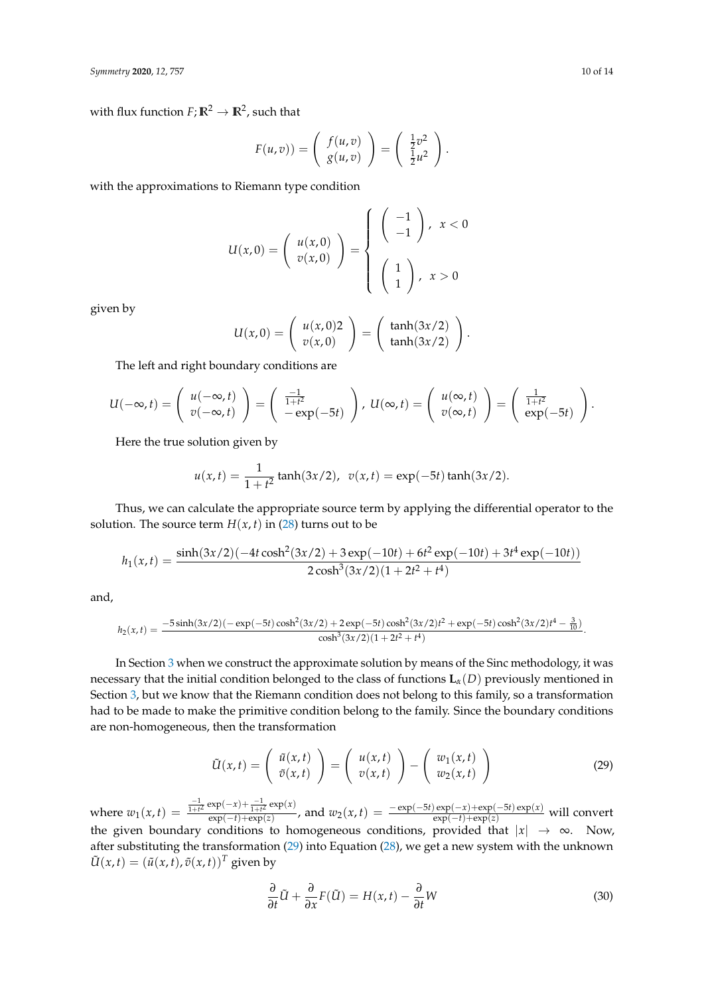with flux function  $F$ ;  $\mathbb{R}^2 \to \mathbb{R}^2$ , such that

$$
F(u,v) = \begin{pmatrix} f(u,v) \\ g(u,v) \end{pmatrix} = \begin{pmatrix} \frac{1}{2}v^2 \\ \frac{1}{2}u^2 \end{pmatrix}.
$$

with the approximations to Riemann type condition

$$
U(x,0) = \left(\begin{array}{c} u(x,0) \\ v(x,0) \end{array}\right) = \left\{\begin{array}{c} \left(\begin{array}{c} -1 \\ -1 \end{array}\right), x < 0 \\ \left(\begin{array}{c} 1 \\ 1 \end{array}\right), x > 0 \end{array}\right.
$$

given by

$$
U(x,0) = \left(\begin{array}{c} u(x,0)2 \\ v(x,0) \end{array}\right) = \left(\begin{array}{c} \tanh(3x/2) \\ \tanh(3x/2) \end{array}\right)
$$

.

The left and right boundary conditions are

$$
U(-\infty,t)=\left(\begin{array}{c}u(-\infty,t)\\v(-\infty,t)\end{array}\right)=\left(\begin{array}{c}\frac{-1}{1+t^2}\\-\exp(-5t)\end{array}\right), U(\infty,t)=\left(\begin{array}{c}u(\infty,t)\\v(\infty,t)\end{array}\right)=\left(\begin{array}{c}\frac{1}{1+t^2}\\exp(-5t)\end{array}\right).
$$

Here the true solution given by

$$
u(x,t) = \frac{1}{1+t^2} \tanh(3x/2), \ \ v(x,t) = \exp(-5t) \tanh(3x/2).
$$

Thus, we can calculate the appropriate source term by applying the differential operator to the solution. The source term  $H(x, t)$  in [\(28\)](#page-8-1) turns out to be

$$
h_1(x,t) = \frac{\sinh(3x/2)(-4t\cosh^2(3x/2) + 3\exp(-10t) + 6t^2\exp(-10t) + 3t^4\exp(-10t))}{2\cosh^3(3x/2)(1+2t^2+t^4)}
$$

and,

$$
h_2(x,t) = \frac{-5\sinh(3x/2)(-\exp(-5t)\cosh^2(3x/2) + 2\exp(-5t)\cosh^2(3x/2)t^2 + \exp(-5t)\cosh^2(3x/2)t^4 - \frac{3}{10})}{\cosh^3(3x/2)(1+2t^2+t^4)}.
$$

In Section [3](#page-3-0) when we construct the approximate solution by means of the Sinc methodology, it was necessary that the initial condition belonged to the class of functions  $\mathbf{L}_{\alpha}(D)$  previously mentioned in Section [3,](#page-3-0) but we know that the Riemann condition does not belong to this family, so a transformation had to be made to make the primitive condition belong to the family. Since the boundary conditions are non-homogeneous, then the transformation

<span id="page-9-0"></span>
$$
\tilde{U}(x,t) = \begin{pmatrix} \tilde{u}(x,t) \\ \tilde{v}(x,t) \end{pmatrix} = \begin{pmatrix} u(x,t) \\ v(x,t) \end{pmatrix} - \begin{pmatrix} w_1(x,t) \\ w_2(x,t) \end{pmatrix}
$$
 (29)

where  $w_1(x,t) = \frac{\frac{-1}{1+t^2} \exp(-x) + \frac{-1}{1+t^2} \exp(x)}{\exp(-t) + \exp(z)}$  $\frac{\exp(-x) + \exp(x)}{\exp(-t) + \exp(z)}$ , and  $w_2(x, t) = \frac{-\exp(-5t)\exp(-x) + \exp(-5t)\exp(x)}{\exp(-t) + \exp(z)}$  will convert the given boundary conditions to homogeneous conditions, provided that |*x*| → ∞. Now, after substituting the transformation [\(29\)](#page-9-0) into Equation [\(28\)](#page-8-1), we get a new system with the unknown  $\tilde{U}(x,t) = (\tilde{u}(x,t), \tilde{v}(x,t))^T$  given by

<span id="page-9-1"></span>
$$
\frac{\partial}{\partial t}\tilde{U} + \frac{\partial}{\partial x}F(\tilde{U}) = H(x,t) - \frac{\partial}{\partial t}W
$$
\n(30)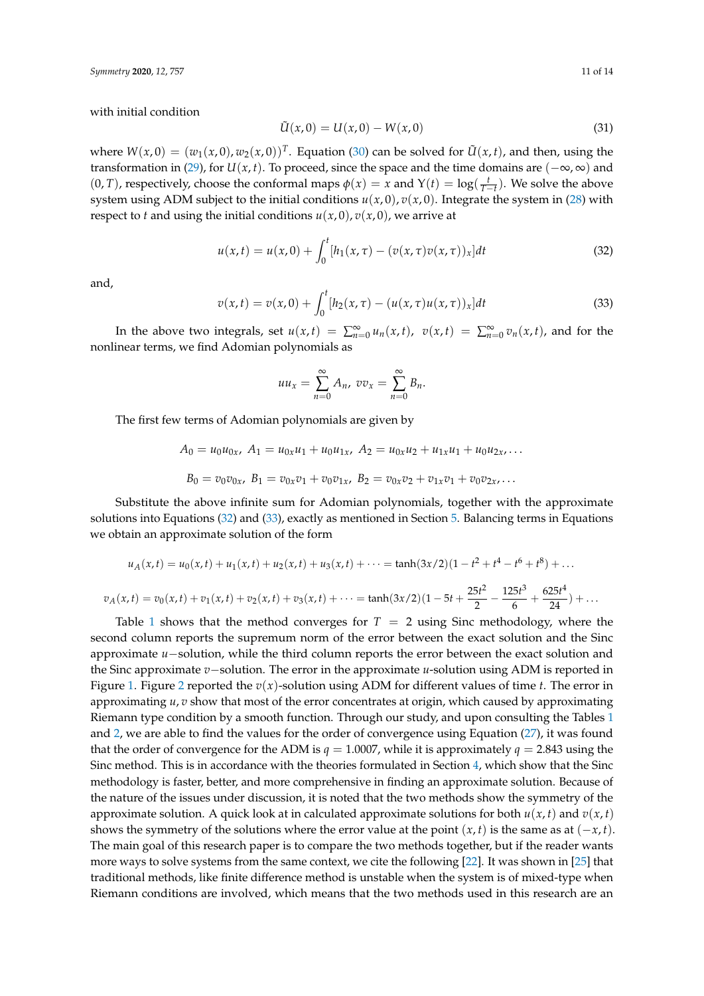with initial condition

$$
\tilde{U}(x,0) = U(x,0) - W(x,0)
$$
\n(31)

where  $W(x, 0) = (w_1(x, 0), w_2(x, 0))^T$ . Equation [\(30\)](#page-9-1) can be solved for  $\tilde{U}(x, t)$ , and then, using the transformation in [\(29\)](#page-9-0), for *U*( $x$ , *t*). To proceed, since the space and the time domains are ( $-\infty$ , $\infty$ ) and  $(0, T)$ , respectively, choose the conformal maps  $\phi(x) = x$  and  $Y(t) = \log(\frac{t}{T-t})$ . We solve the above system using ADM subject to the initial conditions  $u(x, 0)$ ,  $v(x, 0)$ . Integrate the system in [\(28\)](#page-8-1) with respect to *t* and using the initial conditions  $u(x, 0)$ ,  $v(x, 0)$ , we arrive at

<span id="page-10-0"></span>
$$
u(x,t) = u(x,0) + \int_0^t [h_1(x,\tau) - (v(x,\tau)v(x,\tau))_x]dt
$$
\n(32)

and,

<span id="page-10-1"></span>
$$
v(x,t) = v(x,0) + \int_0^t [h_2(x,\tau) - (u(x,\tau)u(x,\tau))_x]dt
$$
\n(33)

In the above two integrals, set  $u(x,t) = \sum_{n=0}^{\infty} u_n(x,t)$ ,  $v(x,t) = \sum_{n=0}^{\infty} v_n(x,t)$ , and for the nonlinear terms, we find Adomian polynomials as

$$
uu_x = \sum_{n=0}^{\infty} A_n, v v_x = \sum_{n=0}^{\infty} B_n.
$$

The first few terms of Adomian polynomials are given by

$$
A_0 = u_0 u_{0x}, A_1 = u_{0x} u_1 + u_0 u_{1x}, A_2 = u_{0x} u_2 + u_{1x} u_1 + u_0 u_{2x}, \dots
$$
  

$$
B_0 = v_0 v_{0x}, B_1 = v_{0x} v_1 + v_0 v_{1x}, B_2 = v_{0x} v_2 + v_{1x} v_1 + v_0 v_{2x}, \dots
$$

Substitute the above infinite sum for Adomian polynomials, together with the approximate solutions into Equations [\(32\)](#page-10-0) and [\(33\)](#page-10-1), exactly as mentioned in Section [5.](#page-8-0) Balancing terms in Equations we obtain an approximate solution of the form

$$
u_A(x,t) = u_0(x,t) + u_1(x,t) + u_2(x,t) + u_3(x,t) + \dots = \tanh(3x/2)(1 - t^2 + t^4 - t^6 + t^8) + \dots
$$
  

$$
v_A(x,t) = v_0(x,t) + v_1(x,t) + v_2(x,t) + v_3(x,t) + \dots = \tanh(3x/2)(1 - 5t + \frac{25t^2}{2} - \frac{125t^3}{6} + \frac{625t^4}{24}) + \dots
$$

Table [1](#page-11-0) shows that the method converges for  $T = 2$  using Sinc methodology, where the second column reports the supremum norm of the error between the exact solution and the Sinc approximate *u*−solution, while the third column reports the error between the exact solution and the Sinc approximate *v*−solution. The error in the approximate *u*-solution using ADM is reported in Figure [1.](#page-11-1) Figure [2](#page-11-2) reported the  $v(x)$ -solution using ADM for different values of time *t*. The error in approximating *u*, *v* show that most of the error concentrates at origin, which caused by approximating Riemann type condition by a smooth function. Through our study, and upon consulting the Tables [1](#page-11-0) and [2,](#page-12-18) we are able to find the values for the order of convergence using Equation [\(27\)](#page-8-2), it was found that the order of convergence for the ADM is  $q = 1.0007$ , while it is approximately  $q = 2.843$  using the Sinc method. This is in accordance with the theories formulated in Section [4,](#page-5-0) which show that the Sinc methodology is faster, better, and more comprehensive in finding an approximate solution. Because of the nature of the issues under discussion, it is noted that the two methods show the symmetry of the approximate solution. A quick look at in calculated approximate solutions for both  $u(x, t)$  and  $v(x, t)$ shows the symmetry of the solutions where the error value at the point  $(x, t)$  is the same as at  $(-x, t)$ . The main goal of this research paper is to compare the two methods together, but if the reader wants more ways to solve systems from the same context, we cite the following [\[22\]](#page-13-0). It was shown in [\[25\]](#page-13-4) that traditional methods, like finite difference method is unstable when the system is of mixed-type when Riemann conditions are involved, which means that the two methods used in this research are an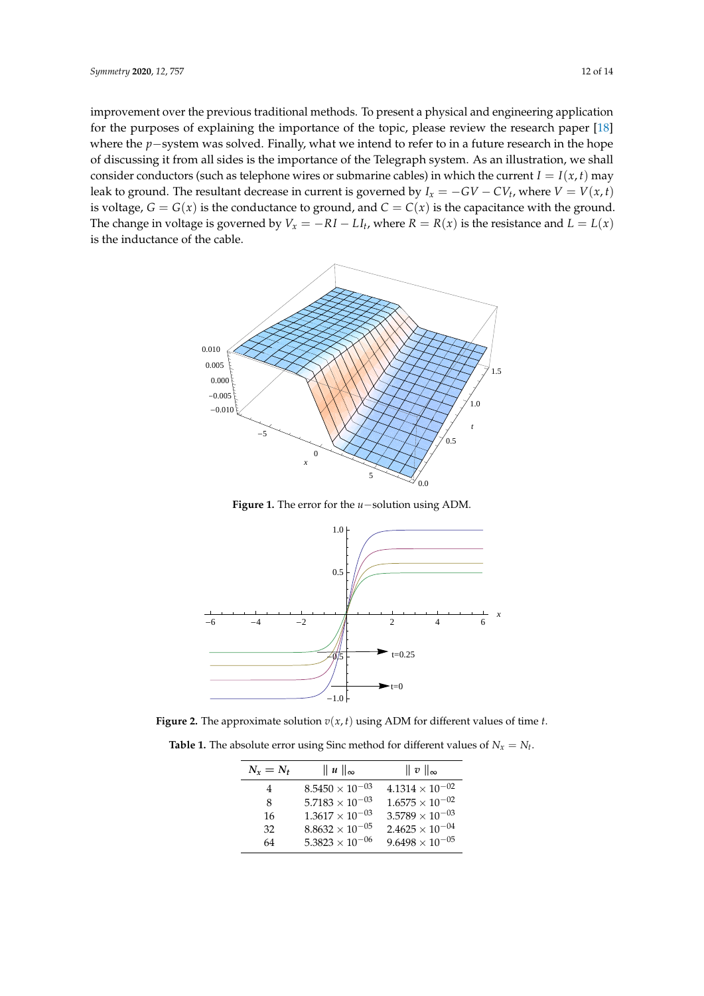improvement over the previous traditional methods. To present a physical and engineering application for the purposes of explaining the importance of the topic, please review the research paper [\[18\]](#page-12-15) where the *p*−system was solved. Finally, what we intend to refer to in a future research in the hope of discussing it from all sides is the importance of the Telegraph system. As an illustration, we shall consider conductors (such as telephone wires or submarine cables) in which the current  $I = I(x, t)$  may leak to ground. The resultant decrease in current is governed by  $I_x = -GV - CV_t$ , where  $V = V(x, t)$ is voltage,  $G = G(x)$  is the conductance to ground, and  $C = C(x)$  is the capacitance with the ground. The change in voltage is governed by  $V_x = -RI - LI_t$ , where  $R = R(x)$  is the resistance and  $L = L(x)$ is the inductance of the cable.

<span id="page-11-1"></span>

Figure 1: The error for the u−solution using ADM. **Figure 1.** The error for the *u*−solution using ADM.

<span id="page-11-2"></span>

<span id="page-11-0"></span> $\mathbf{D}$ **Figure 2.** The approximate solution  $v(x, t)$  using ADM for different values of time *t*.

**Table 1.** The absolute error using Sinc method for different values of  $N_x = N_t$ .

| $N_x = N_t$ | $\ u\ _{\infty}$       | $\parallel v \parallel_{\infty}$                  |
|-------------|------------------------|---------------------------------------------------|
| 4           | $8.5450\times10^{-03}$ | $4.1314 \times 10^{-02}$                          |
| 8           |                        | $5.7183 \times 10^{-03}$ $1.6575 \times 10^{-02}$ |
| 16          |                        | $1.3617 \times 10^{-03}$ $3.5789 \times 10^{-03}$ |
| 32          |                        | $8.8632 \times 10^{-05}$ $2.4625 \times 10^{-04}$ |
| 64          |                        | $5.3823 \times 10^{-06}$ $9.6498 \times 10^{-05}$ |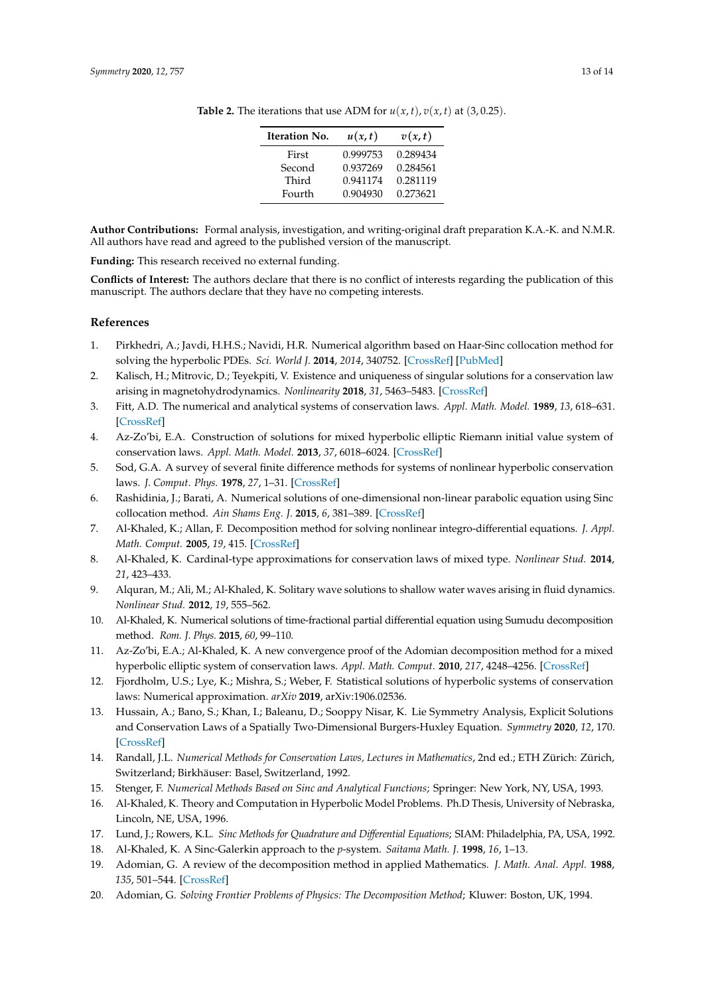| <b>Iteration No.</b> | u(x,t)   | v(x,t)   |
|----------------------|----------|----------|
| First                | 0.999753 | 0.289434 |
| Second               | 0.937269 | 0.284561 |
| Third                | 0.941174 | 0.281119 |
| Fourth               | 0.904930 | 0.273621 |

<span id="page-12-18"></span>**Table 2.** The iterations that use ADM for  $u(x, t)$ ,  $v(x, t)$  at (3, 0.25).

**Author Contributions:** Formal analysis, investigation, and writing-original draft preparation K.A.-K. and N.M.R. All authors have read and agreed to the published version of the manuscript.

**Funding:** This research received no external funding.

**Conflicts of Interest:** The authors declare that there is no conflict of interests regarding the publication of this manuscript. The authors declare that they have no competing interests.

## **References**

- <span id="page-12-0"></span>1. Pirkhedri, A.; Javdi, H.H.S.; Navidi, H.R. Numerical algorithm based on Haar-Sinc collocation method for solving the hyperbolic PDEs. *Sci. World J.* **2014**, *2014*, 340752. [\[CrossRef\]](http://dx.doi.org/10.1155/2014/340752) [\[PubMed\]](http://www.ncbi.nlm.nih.gov/pubmed/25485295)
- <span id="page-12-1"></span>2. Kalisch, H.; Mitrovic, D.; Teyekpiti, V. Existence and uniqueness of singular solutions for a conservation law arising in magnetohydrodynamics. *Nonlinearity* **2018**, *31*, 5463–5483. [\[CrossRef\]](http://dx.doi.org/10.1088/1361-6544/aae04b)
- <span id="page-12-2"></span>3. Fitt, A.D. The numerical and analytical systems of conservation laws. *Appl. Math. Model.* **1989**, *13*, 618–631. [\[CrossRef\]](http://dx.doi.org/10.1016/0307-904X(89)90171-6)
- <span id="page-12-3"></span>4. Az-Zo'bi, E.A. Construction of solutions for mixed hyperbolic elliptic Riemann initial value system of conservation laws. *Appl. Math. Model.* **2013**, *37*, 6018–6024. [\[CrossRef\]](http://dx.doi.org/10.1016/j.apm.2012.12.006)
- <span id="page-12-4"></span>5. Sod, G.A. A survey of several finite difference methods for systems of nonlinear hyperbolic conservation laws. *J. Comput. Phys.* **1978**, *27*, 1–31. [\[CrossRef\]](http://dx.doi.org/10.1016/0021-9991(78)90023-2)
- <span id="page-12-5"></span>6. Rashidinia, J.; Barati, A. Numerical solutions of one-dimensional non-linear parabolic equation using Sinc collocation method. *Ain Shams Eng. J.* **2015**, *6*, 381–389. [\[CrossRef\]](http://dx.doi.org/10.1016/j.asej.2014.10.002)
- <span id="page-12-6"></span>7. Al-Khaled, K.; Allan, F. Decomposition method for solving nonlinear integro-differential equations. *J. Appl. Math. Comput.* **2005**, *19*, 415. [\[CrossRef\]](http://dx.doi.org/10.1007/BF02935815)
- 8. Al-Khaled, K. Cardinal-type approximations for conservation laws of mixed type. *Nonlinear Stud.* **2014**, *21*, 423–433.
- <span id="page-12-7"></span>9. Alquran, M.; Ali, M.; Al-Khaled, K. Solitary wave solutions to shallow water waves arising in fluid dynamics. *Nonlinear Stud.* **2012**, *19*, 555–562.
- <span id="page-12-8"></span>10. Al-Khaled, K. Numerical solutions of time-fractional partial differential equation using Sumudu decomposition method. *Rom. J. Phys.* **2015**, *60*, 99–110.
- <span id="page-12-9"></span>11. Az-Zo'bi, E.A.; Al-Khaled, K. A new convergence proof of the Adomian decomposition method for a mixed hyperbolic elliptic system of conservation laws. *Appl. Math. Comput.* **2010**, *217*, 4248–4256. [\[CrossRef\]](http://dx.doi.org/10.1016/j.amc.2010.10.040)
- <span id="page-12-10"></span>12. Fjordholm, U.S.; Lye, K.; Mishra, S.; Weber, F. Statistical solutions of hyperbolic systems of conservation laws: Numerical approximation. *arXiv* **2019**, arXiv:1906.02536.
- 13. Hussain, A.; Bano, S.; Khan, I.; Baleanu, D.; Sooppy Nisar, K. Lie Symmetry Analysis, Explicit Solutions and Conservation Laws of a Spatially Two-Dimensional Burgers-Huxley Equation. *Symmetry* **2020**, *12*, 170. [\[CrossRef\]](http://dx.doi.org/10.3390/sym12010170)
- <span id="page-12-11"></span>14. Randall, J.L. *Numerical Methods for Conservation Laws, Lectures in Mathematics*, 2nd ed.; ETH Zürich: Zürich, Switzerland; Birkhäuser: Basel, Switzerland, 1992.
- <span id="page-12-12"></span>15. Stenger, F. *Numerical Methods Based on Sinc and Analytical Functions*; Springer: New York, NY, USA, 1993.
- <span id="page-12-14"></span>16. Al-Khaled, K. Theory and Computation in Hyperbolic Model Problems. Ph.D Thesis, University of Nebraska, Lincoln, NE, USA, 1996.
- <span id="page-12-13"></span>17. Lund, J.; Rowers, K.L. *Sinc Methods for Quadrature and Differential Equations*; SIAM: Philadelphia, PA, USA, 1992.
- <span id="page-12-15"></span>18. Al-Khaled, K. A Sinc-Galerkin approach to the *p*-system. *Saitama Math. J.* **1998**, *16*, 1–13.
- <span id="page-12-16"></span>19. Adomian, G. A review of the decomposition method in applied Mathematics. *J. Math. Anal. Appl.* **1988**, *135*, 501–544. [\[CrossRef\]](http://dx.doi.org/10.1016/0022-247X(88)90170-9)
- <span id="page-12-17"></span>20. Adomian, G. *Solving Frontier Problems of Physics: The Decomposition Method*; Kluwer: Boston, UK, 1994.